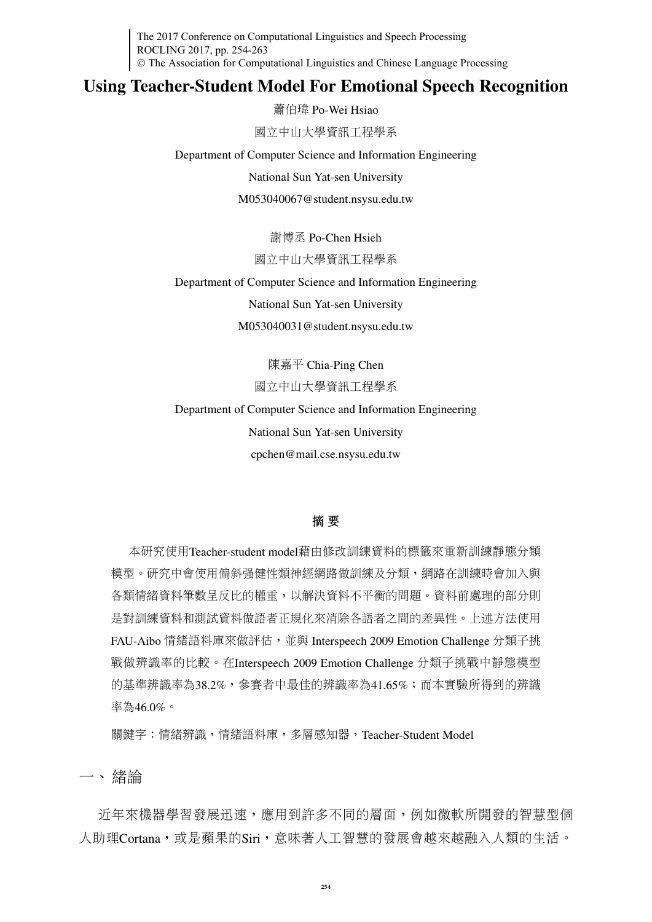The 2017 Conference on Computational Linguistics and Speech Processing ROCLING 2017, pp. 254-263 The Association for Computational Linguistics and Chinese Language Processing

# Using Teacher-Student Model For Emotional Speech Recognition

<sup>蕭</sup>伯瑋 Po-Wei Hsiao

<sup>國</sup>立中山大學資訊工程學系

Department of Computer Science and Information Engineering

National Sun Yat-sen University

M053040067@student.nsysu.edu.tw

<sup>謝</sup>博<sup>丞</sup> Po-Chen Hsieh

#### <sup>國</sup>立中山大學資訊工程學系

Department of Computer Science and Information Engineering

National Sun Yat-sen University

M053040031@student.nsysu.edu.tw

陳嘉平 Chia-Ping Chen <sup>國</sup>立中山大學資訊工程學系

Department of Computer Science and Information Engineering National Sun Yat-sen University cpchen@mail.cse.nsysu.edu.tw

#### <sup>摘</sup> 要

本研究使用Teacher-student model藉由修改訓練資料的標籤來重新訓練靜態分<sup>類</sup> 模型。研究中會使用偏斜强健性類神經網路做訓練及分類,網路在訓練時會加入與 <sup>各</sup>類情緒資料筆數呈反比的權重,以解決資料不平衡的問題。資料前處理的部分則 <sup>是</sup>對訓練資料和測試資料做語者正規化來消除各語者之間的差異性。上述方法使用 FAU-Aibo 情緒語料庫來做評估,並與 Interspeech 2009 Emotion Challenge 分類子挑 戰做辨識率的比較。在Interspeech 2009 Emotion Challenge <sup>分</sup>類子挑戰中靜態模<sup>型</sup> 的基準辨識率為38.2%,參賽者中最佳的辨識率為41.65%;而本實驗所得到的辨<sup>識</sup> 率為46.0%。

<sup>關</sup>鍵字:情緒辨識,情緒語料庫,多層感知器,Teacher-Student Model

一、 緒論

近年來機器學習發展迅速,應用到許多不同的層面,例如微軟所開發的智慧型個 人助理Cortana,或是蘋果的Siri,意味著人工智慧的發展會越來越融入人類的生活。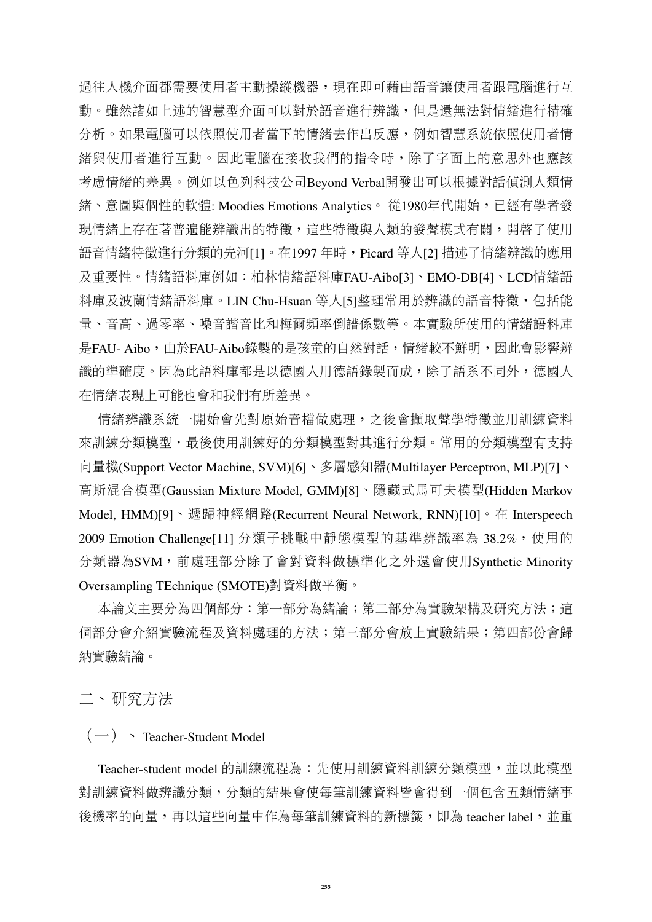過往人機介面都需要使用者主動操縱機器,現在即可藉由語音讓使用者跟電腦進行互 動。雖然諸如上述的智慧型介面可以對於語音進行辨識,但是還無法對情緒進行精確 分析。如果電腦可以依照使用者當下的情緒去作出反應,例如智慧系統依照使用者情 緒與使用者進行互動。因此電腦在接收我們的指令時,除了字面上的意思外也應該 考慮情緒的差異。例如以色列科技公司Beyond Verbal開發出可以根據對話偵測人類<sup>情</sup> <sup>緒</sup>、意圖與個性的軟體: Moodies Emotions Analytics。 從1980年代開始,已經有學者發 現情緒上存在著普遍能辨識出的特徵,這些特徵與人類的發聲模式有關,開啓了使用 語音情緒特徵進行分類的先河[1]。在1997 年時, Picard 等人[2] 描述了情緒辨識的應用 及重要性。情緒語料庫例如:柏林情緒語料庫FAU-Aibo[3]、EMO-DB[4]、LCD情緒<sup>語</sup> 料庫及波蘭情緒語料庫。LIN Chu-Hsuan 等人[5]整理常用於辨識的語音特徵,包括能 <sup>量</sup>、音高、過零率、噪音諧音比和梅爾頻率倒譜係數等。本實驗所使用的情緒語料<sup>庫</sup> 是FAU- Aibo, 由於FAU-Aibo錄製的是孩童的自然對話,情緒較不鮮明,因此會影響辨 識的準確度。因為此語料庫都是以德國人用德語錄製而成,除了語系不同外,德國人 <sup>在</sup>情緒表現上可能也會和我們有所差異。

情緒辨識系統一開始會先對原始音檔做處理,之後會擷取聲學特徵並用訓練資料 來訓練分類模型,最後使用訓練好的分類模型對其進行分類。常用的分類模型有支<sup>持</sup> <sup>向</sup>量機(Support Vector Machine, SVM)[6]、多層感知器(Multilayer Perceptron, MLP)[7]、 <sup>高</sup>斯混合模型(Gaussian Mixture Model, GMM)[8]、隱藏式馬可夫模型(Hidden Markov Model, HMM)<sup>[9]、</sup>遞歸神經網路(Recurrent Neural Network, RNN)<sup>[10]。在</sup> Interspeech 2009 Emotion Challenge[11] 分類子挑戰中靜態模型的基準辨識率為 38.2%,使用的 <sup>分</sup>類器為SVM,前處理部分除了會對資料做標準化之外還會使用Synthetic Minority Oversampling TEchnique (SMOTE)對資料做平衡。

本論文主要分為四個部分:第一部分為緒論;第二部分為實驗架構及研究方法;這 <sup>個</sup>部分會介紹實驗流程及資料處理的方法;第三部分會放上實驗結果;第四部份會歸 納實驗結論。

二、 研究方法

### $(-)$  > Teacher-Student Model

Teacher-student model 的訓練流程為:先使用訓練資料訓練分類模型,並以此模型 <sup>對</sup>訓練資料做辨識分類,分類的結果會使每筆訓練資料皆會得到一個包含五類情緒<sup>事</sup> 後機率的向量,再以這些向量中作為每筆訓練資料的新標籤,即為 teacher label, 並重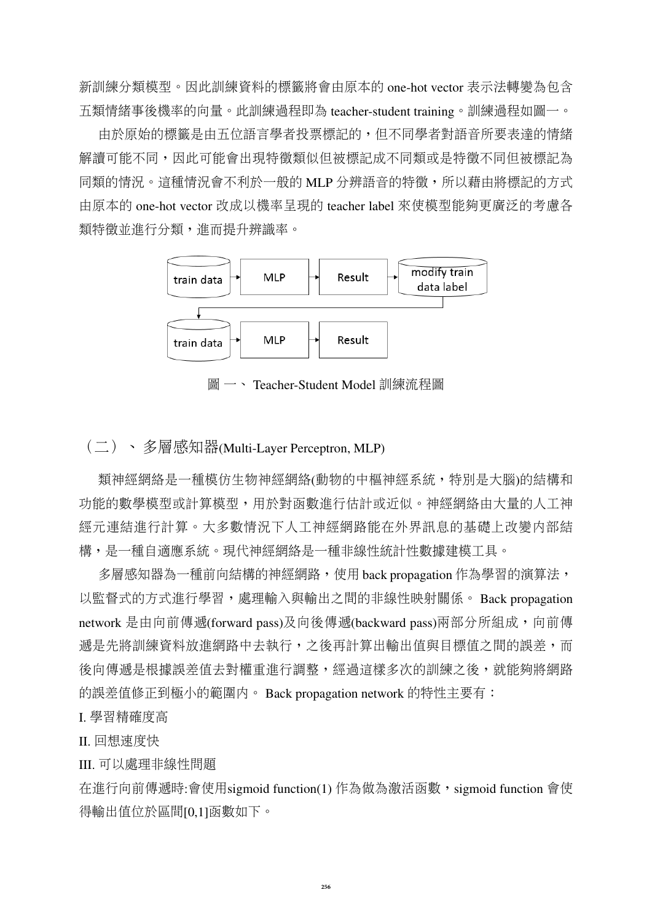<sup>新</sup>訓練分類模型。因此訓練資料的標籤將會由原本的 one-hot vector <sup>表</sup>示法轉變為包<sup>含</sup> <sup>五</sup>類情緒事後機率的向量。此訓練過程即<sup>為</sup> teacher-student training。訓練過程如圖一。

由於原始的標籤是由五位語言學者投票標記的,但不同學者對語音所要表達的情<sup>緒</sup> 解讀可能不同,因此可能會出現特徵類似但被標記成不同類或是特徵不同但被標記為 同類的情況。這種情況會不利於一般的 MLP 分辨語音的特徵,所以藉由將標記的方式 由原本的 one-hot vector <sup>改</sup>成以機率呈現的 teacher label 來使模型能夠更廣泛的考慮<sup>各</sup> 類特徵並進行分類,進而提升辨識率。



圖 一、 Teacher-Student Model 訓練流程圖

## (二)、 多層感知器(Multi-Layer Perceptron, MLP)

類神經網絡是一種模仿生物神經網絡(動物的中樞神經系統,特別是大腦)的結構和 <sup>功</sup>能的數學模型或計算模型,用於對函數進行估計或近似。神經網絡由大量的人工<sup>神</sup> <sup>經</sup>元連結進行計算。大多數情況下人工神經網路能在外界訊息的基礎上改變內部<sup>結</sup> <sup>構</sup>,是一種自適應系統。現代神經網絡是一種非線性統計性數據建模工具。

多層感知器為一種前向結構的神經網路,使用 back propagation 作為學習的演算法, 以監督式的方式進行學習,處理輸入與輸出之間的非線性映射關係。 Back propagation network 是由向前傳遞(forward pass)及向後傳遞(backward pass)兩部分所組成,向前傳 源是先將訓練資料放進網路中去執行,之後再計算出輸出值與目標值之間的誤差,而 後向傳遞是根據誤差值去對權重進行調整,經過這樣多次的訓練之後,就能夠將網路 的誤差值修正到極小的範圍內。 Back propagation network 的特性主要有:

#### I. <sup>學</sup>習精確度<sup>高</sup>

II. <sup>回</sup>想速度快

III. 可以處理非線性問<sup>題</sup>

在進行向前傳遞時:會使用sigmoid function(1) 作為做為激活函數, sigmoid function 會使 得輸出值位於區間[0,1]函數如下。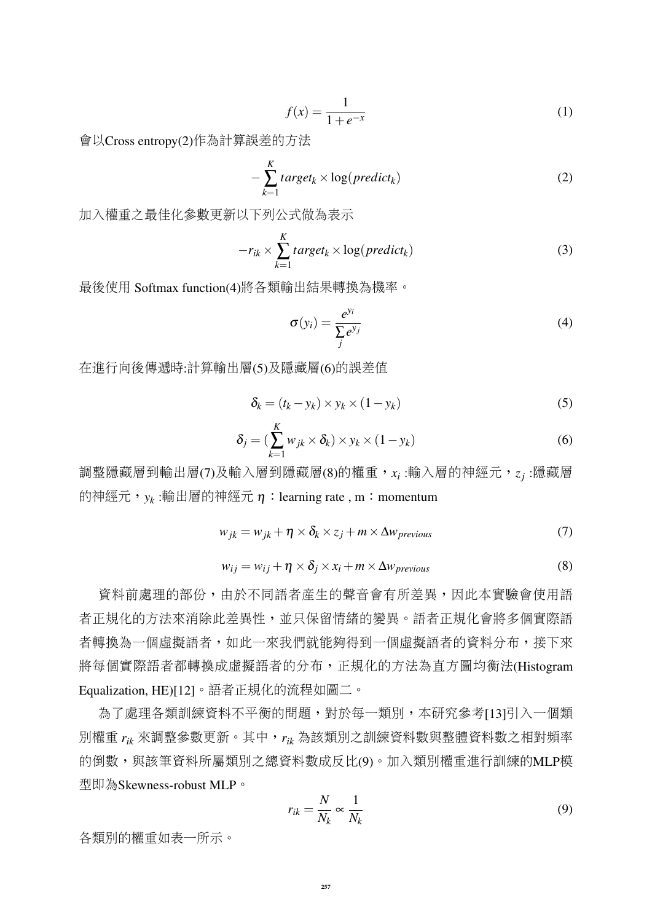$$
f(x) = \frac{1}{1 + e^{-x}}
$$
 (1)

會以Cross entropy(2)作為計算誤差的方<sup>法</sup>

$$
-\sum_{k=1}^{K} target_k \times \log(predict_k)
$$
 (2)

<sup>加</sup>入權重之最佳化參數更新以下列公式做為表<sup>示</sup>

$$
-r_{ik} \times \sum_{k=1}^{K} target_k \times \log(predict_k)
$$
 (3)

最後使用 Softmax function(4)將各類輸出結果轉換為機率。

$$
\sigma(y_i) = \frac{e^{y_i}}{\sum_j e^{y_j}}
$$
\n(4)

<sup>在</sup>進行向後傳遞時:計算輸出層(5)及隱藏層(6)的誤差<sup>值</sup>

$$
\delta_k = (t_k - y_k) \times y_k \times (1 - y_k)
$$
\n(5)

$$
\delta_j = \left(\sum_{k=1}^K w_{jk} \times \delta_k\right) \times y_k \times \left(1 - y_k\right) \tag{6}
$$

調整隱藏層到輸出層(7)及輸入層到隱藏層(8)的權重, $x_i$ :輸入層的神經元, $z_j$ :隱藏層 的神經元,<sub>y*k*:輸出層的神經元η:learning rate , m:momentum</sub>

$$
w_{jk} = w_{jk} + \eta \times \delta_k \times z_j + m \times \Delta w_{previous}
$$
 (7)

$$
w_{ij} = w_{ij} + \eta \times \delta_j \times x_i + m \times \Delta w_{previous}
$$
 (8)

<sup>資</sup>料前處理的部份,由於不同語者產生的聲音會有所差異,因此本實驗會使用<sup>語</sup> 者正規化的方法來消除此差異性,並只保留情緒的變異。語者正規化會將多個實際<sup>語</sup> 者轉換為一個虛擬語者,如此一來我們就能夠得到一個虛擬語者的資料分布,接下來 將每個實際語者都轉換成虛擬語者的分布,正規化的方法為直方圖均衡法(Histogram Equalization, HE)[12]。語者正規化的流程如圖二。

<sup>為</sup>了處理各類訓練資料不平衡的問題,對於每一類別,本研究參考[13]引入一個<sup>類</sup> <sup>別</sup>權<sup>重</sup> *<sup>r</sup>ik* <sup>來</sup>調整參數更新。其中,*rik* <sup>為</sup>該類別之訓練資料數與整體資料數之相對頻<sup>率</sup> 的倒數,與該筆資料所屬類別之總資料數成反比(9)。加入類別權重進行訓練的MLP模 <sup>型</sup>即為Skewness-robust MLP。

$$
r_{ik} = \frac{N}{N_k} \propto \frac{1}{N_k} \tag{9}
$$

<sup>各</sup>類別的權重如表一所示。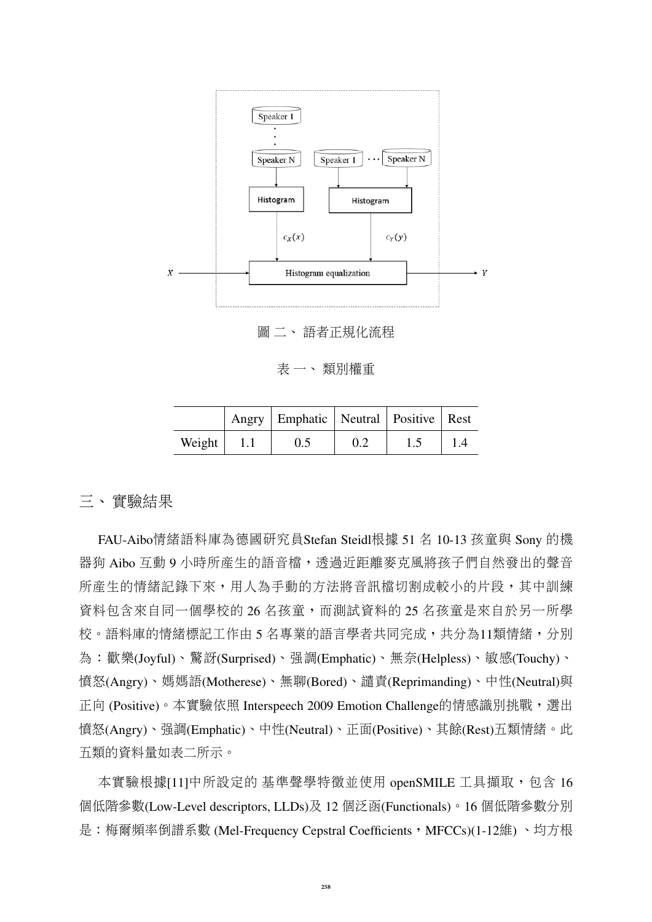

<sup>圖</sup> <sup>二</sup>、 <sup>語</sup>者正規化流<sup>程</sup>

<sup>表</sup> <sup>一</sup>、 <sup>類</sup>別權<sup>重</sup>

|                |      | Angry   Emphatic   Neutral   Positive   Rest |  |  |
|----------------|------|----------------------------------------------|--|--|
| Weight $\vert$ | -1.1 | 0.5                                          |  |  |

### <sup>三</sup>、 <sup>實</sup>驗結果

FAU-Aibo情緒語料庫為德國研究員Stefan Steidl根<sup>據</sup> <sup>51</sup> <sup>名</sup> 10-13 <sup>孩</sup>童<sup>與</sup> Sony 的<sup>機</sup> 器狗 Aibo 互動 9 小時所産生的語音檔,透過近距離麥克風將孩子們自然發出的聲音 所產生的情緒記錄下來,用人為手動的方法將音訊檔切割成較小的片段,其中訓練 資料包含來自同一個學校的 26 名孩童,而測試資料的 25 名孩童是來自於另一所學 校。語料庫的情緒標記工作由5名專業的語言學者共同完成,共分為11類情緒,分別 <sup>為</sup>:歡樂(Joyful)、驚訝(Surprised)、強調(Emphatic)、無奈(Helpless)、敏感(Touchy)、 <sup>憤</sup>怒(Angry)、媽媽語(Motherese)、無聊(Bored)、譴責(Reprimanding)、中性(Neutral)<sup>與</sup> 正向 (Positive)。本實驗依照 Interspeech 2009 Emotion Challenge的情感識別挑戰,選出 <sup>憤</sup>怒(Angry)、強調(Emphatic)、中性(Neutral)、正面(Positive)、其餘(Rest)五類情緒。此 <sup>五</sup>類的資料量如表二所示。

本實驗根據[11]中所設定的 基準聲學特徵並使用 openSMILE 工具擷取,包含 16 <sup>個</sup>低階參數(Low-Level descriptors, LLDs)及 <sup>12</sup> <sup>個</sup>泛函(Functionals)。<sup>16</sup> <sup>個</sup>低階參數分別 是:梅爾頻率倒譜系數 (Mel-Frequency Cepstral Coefficients, MFCCs)(1-12維)、均方根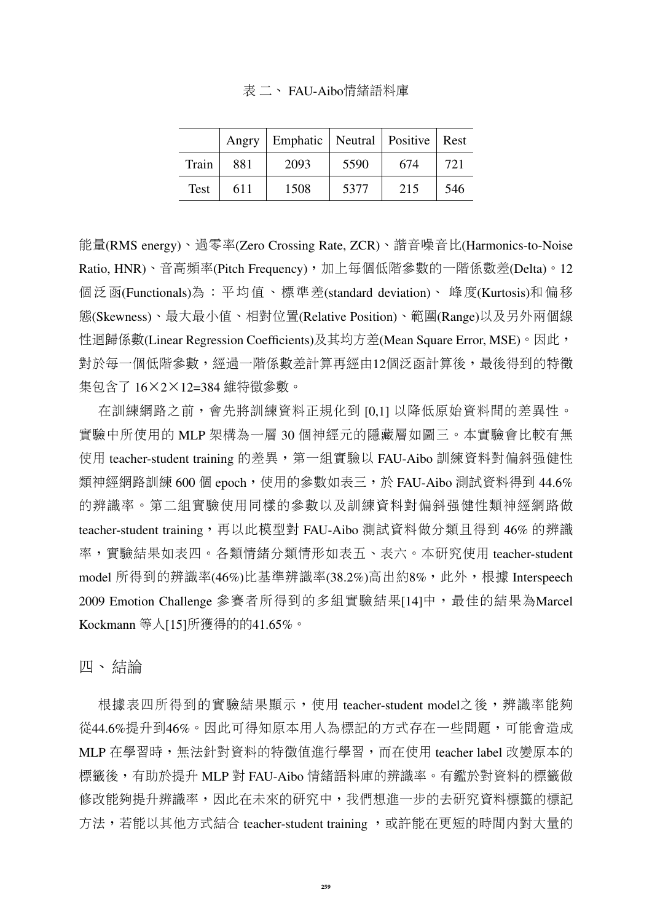#### 表 二、 FAU-Aibo情緒語料庫

|             | Angry | Emphatic   Neutral   Positive   Rest |      |     |     |
|-------------|-------|--------------------------------------|------|-----|-----|
| Train       | 881   | 2093                                 | 5590 | 674 | 721 |
| <b>Test</b> | 611   | 1508                                 | 5377 | 215 | 546 |

能量(RMS energy)、過零率(Zero Crossing Rate, ZCR)、諧音噪音比(Harmonics-to-Noise Ratio, HNR)、音高頻率(Pitch Frequency),加上每個低階參數的一階係數差(Delta)。12 個泛函(Functionals)為:平均值、標準差(standard deviation)、 峰度(Kurtosis)和偏移 <sup>態</sup>(Skewness)、最大最小值、相對位置(Relative Position)、範圍(Range)以及另外兩個<sup>線</sup> 性迴歸係數(Linear Regression Coefficients)及其均方差(Mean Square Error, MSE)。因此, 對於每一個低階參數,經過一階係數差計算再經由12個泛函計算後,最後得到的特徵 <sup>集</sup>包含<sup>了</sup> <sup>16</sup>×2×12=384 <sup>維</sup>特徵參數。

在訓練網路之前,會先將訓練資料正規化到 [0,1] 以降低原始資料間的差異性。 <sup>實</sup>驗中所使用的 MLP 架構為一<sup>層</sup> <sup>30</sup> <sup>個</sup>神經元的隱藏層如圖三。本實驗會比較有<sup>無</sup> 使用 teacher-student training 的差異,第一組實驗以 FAU-Aibo 訓練資料對偏斜强健性 類神經網路訓練 600個 epoch,使用的參數如表三,於 FAU-Aibo 測試資料得到 44.6% 的辨識率。第二組實驗使用同樣的參數以及訓練資料對偏斜强健性類神經網路做 teacher-student training,再以此模型<sup>對</sup> FAU-Aibo <sup>測</sup>試資料做分類且得<sup>到</sup> 46% 的辨<sup>識</sup> <sup>率</sup>,實驗結果如表四。各類情緒分類情形如表五、表六。本研究使用 teacher-student model 所得到的辨識率(46%)比基準辨識率(38.2%)高出約8%,此外,根據 Interspeech 2009 Emotion Challenge 参賽者所得到的多組實驗結果[14]中,最佳的結果為Marcel Kockmann <sup>等</sup>人[15]所獲得的的41.65%。

四、 結論

根據表四所得到的實驗結果顯示,使用 teacher-student model之後,辨識率能夠 從44.6%提升到46%。因此可得知原本用人為標記的方式存在一些問題,可能會造成 MLP 在學習時,無法針對資料的特徵值進行學習,而在使用 teacher label 改變原本的 標籤後,有助於提升 MLP 對 FAU-Aibo 情緒語料庫的辨識率。有鑑於對資料的標籤做 修改能夠提升辨識率,因此在未來的研究中,我們想進一步的去研究資料標籤的標<sup>記</sup> 方法,若能以其他方式結合 teacher-student training, 或許能在更短的時間内對大量的

**259**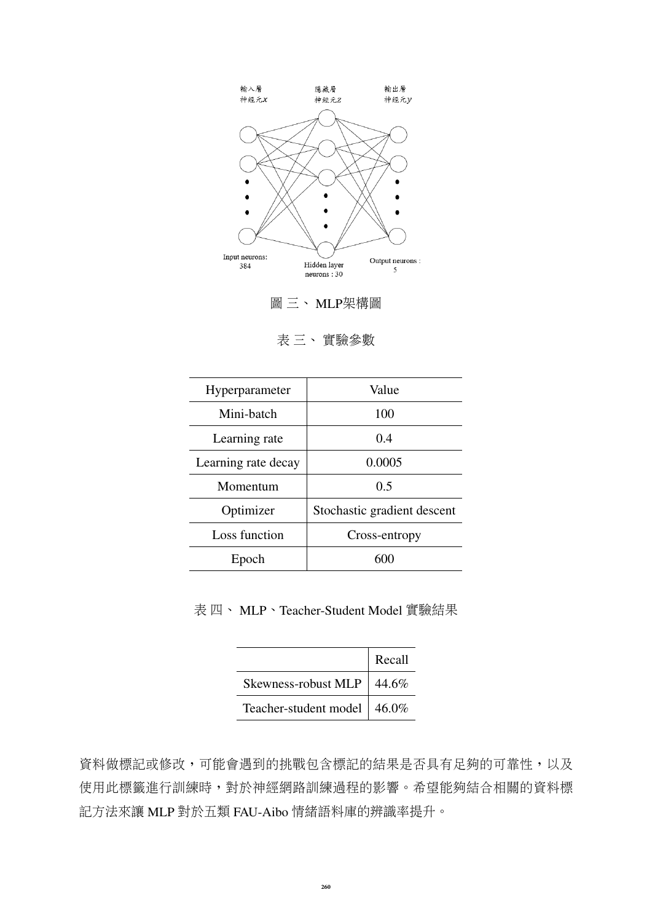

<sup>圖</sup> <sup>三</sup>、 MLP架構<sup>圖</sup>

<sup>表</sup> <sup>三</sup>、 <sup>實</sup>驗參<sup>數</sup>

| Hyperparameter      | Value                       |  |  |
|---------------------|-----------------------------|--|--|
| Mini-batch          | 100                         |  |  |
| Learning rate       | 0.4                         |  |  |
| Learning rate decay | 0.0005                      |  |  |
| Momentum            | 0.5                         |  |  |
| Optimizer           | Stochastic gradient descent |  |  |
| Loss function       | Cross-entropy               |  |  |
| Epoch               |                             |  |  |

<sup>表</sup> <sup>四</sup>、 MLP、Teacher-Student Model <sup>實</sup>驗結果

|                                | Recall |
|--------------------------------|--------|
| Skewness-robust MLP   $44.6\%$ |        |
| Teacher-student model   46.0%  |        |

資料做標記或修改,可能會遇到的挑戰包含標記的結果是否具有足夠的可靠性,以及 使用此標籤進行訓練時,對於神經網路訓練過程的影響。希望能夠結合相關的資料標 <sup>記</sup>方法來<sup>讓</sup> MLP <sup>對</sup>於五<sup>類</sup> FAU-Aibo <sup>情</sup>緒語料庫的辨識率提升。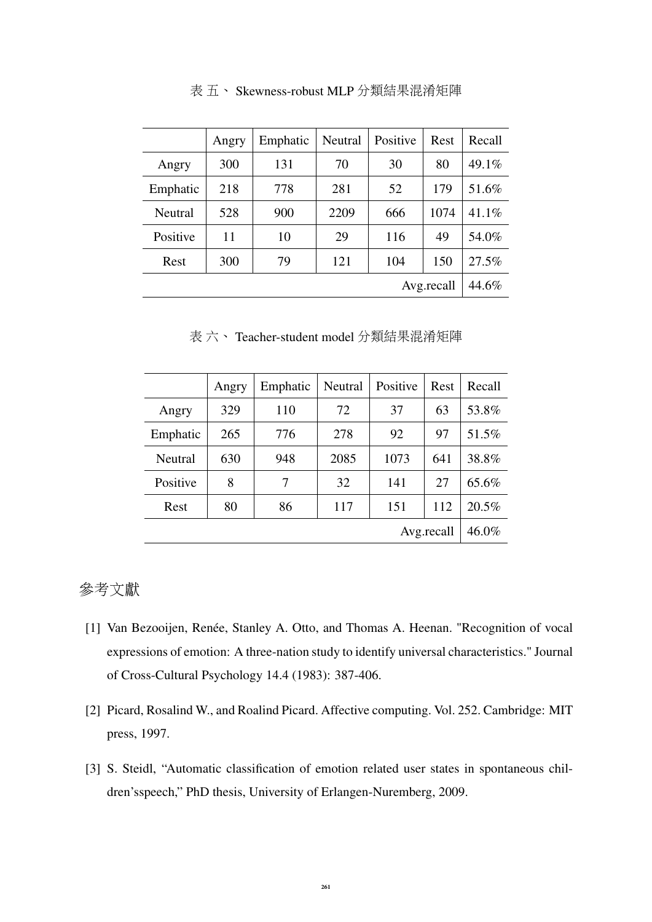|            | Angry | Emphatic | Neutral | Positive | Rest  | Recall   |
|------------|-------|----------|---------|----------|-------|----------|
| Angry      | 300   | 131      | 70      | 30       | 80    | $49.1\%$ |
| Emphatic   | 218   | 778      | 281     | 52       | 179   | 51.6%    |
| Neutral    | 528   | 900      | 2209    | 666      | 1074  | 41.1%    |
| Positive   | 11    | 10       | 29      | 116      | 49    | 54.0%    |
| Rest       | 300   | 79       | 121     | 104      | 150   | 27.5%    |
| Avg.recall |       |          |         |          | 44.6% |          |

<sup>表</sup> <sup>五</sup>、 Skewness-robust MLP <sup>分</sup>類結果混淆矩<sup>陣</sup>

<sup>表</sup> <sup>六</sup>、 Teacher-student model <sup>分</sup>類結果混淆矩<sup>陣</sup>

|            | Angry | Emphatic | Neutral | Positive | Rest  | Recall |
|------------|-------|----------|---------|----------|-------|--------|
| Angry      | 329   | 110      | 72      | 37       | 63    | 53.8%  |
| Emphatic   | 265   | 776      | 278     | 92       | 97    | 51.5%  |
| Neutral    | 630   | 948      | 2085    | 1073     | 641   | 38.8%  |
| Positive   | 8     | 7        | 32      | 141      | 27    | 65.6%  |
| Rest       | 80    | 86       | 117     | 151      | 112   | 20.5%  |
| Avg.recall |       |          |         |          | 46.0% |        |

# 參考文<sup>獻</sup>

- [1] Van Bezooijen, Renée, Stanley A. Otto, and Thomas A. Heenan. "Recognition of vocal expressions of emotion: A three-nation study to identify universal characteristics." Journal of Cross-Cultural Psychology 14.4 (1983): 387-406.
- [2] Picard, Rosalind W., and Roalind Picard. Affective computing. Vol. 252. Cambridge: MIT press, 1997.
- [3] S. Steidl, "Automatic classification of emotion related user states in spontaneous children'sspeech," PhD thesis, University of Erlangen-Nuremberg, 2009.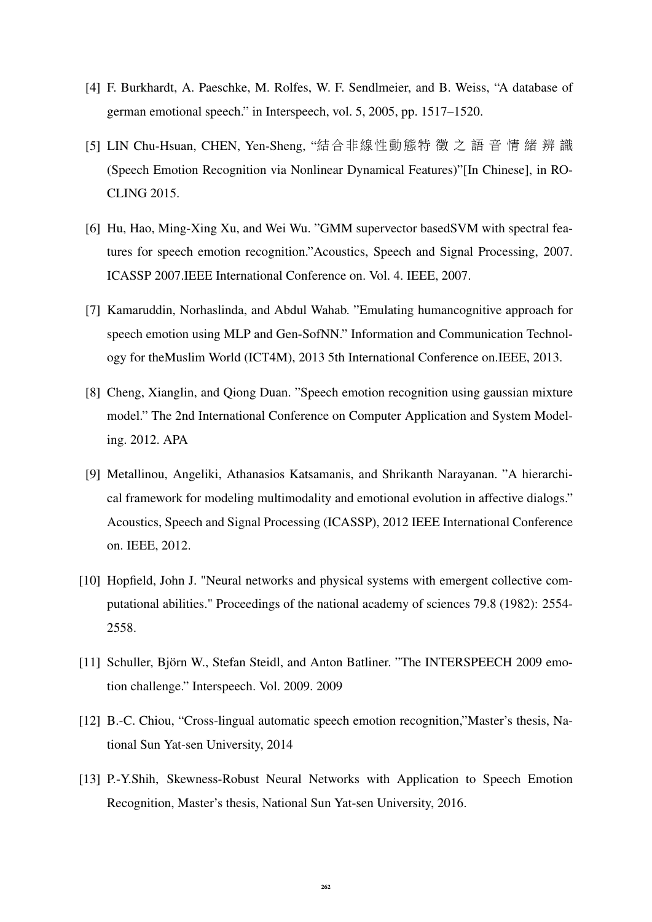- [4] F. Burkhardt, A. Paeschke, M. Rolfes, W. F. Sendlmeier, and B. Weiss, "A database of german emotional speech." in Interspeech, vol. 5, 2005, pp. 1517–1520.
- [5] LIN Chu-Hsuan, CHEN, Yen-Sheng, "結合非線性動態特 徵 <sup>之</sup> <sup>語</sup> <sup>音</sup> <sup>情</sup> <sup>緒</sup> <sup>辨</sup> <sup>識</sup> (Speech Emotion Recognition via Nonlinear Dynamical Features)"[In Chinese], in RO-CLING 2015.
- [6] Hu, Hao, Ming-Xing Xu, and Wei Wu. "GMM supervector basedSVM with spectral features for speech emotion recognition."Acoustics, Speech and Signal Processing, 2007. ICASSP 2007.IEEE International Conference on. Vol. 4. IEEE, 2007.
- [7] Kamaruddin, Norhaslinda, and Abdul Wahab. "Emulating humancognitive approach for speech emotion using MLP and Gen-SofNN." Information and Communication Technology for theMuslim World (ICT4M), 2013 5th International Conference on.IEEE, 2013.
- [8] Cheng, Xianglin, and Qiong Duan. "Speech emotion recognition using gaussian mixture model." The 2nd International Conference on Computer Application and System Modeling. 2012. APA
- [9] Metallinou, Angeliki, Athanasios Katsamanis, and Shrikanth Narayanan. "A hierarchical framework for modeling multimodality and emotional evolution in affective dialogs." Acoustics, Speech and Signal Processing (ICASSP), 2012 IEEE International Conference on. IEEE, 2012.
- [10] Hopfield, John J. "Neural networks and physical systems with emergent collective computational abilities." Proceedings of the national academy of sciences 79.8 (1982): 2554- 2558.
- [11] Schuller, Björn W., Stefan Steidl, and Anton Batliner. "The INTERSPEECH 2009 emotion challenge." Interspeech. Vol. 2009. 2009
- [12] B.-C. Chiou, "Cross-lingual automatic speech emotion recognition,"Master's thesis, National Sun Yat-sen University, 2014
- [13] P.-Y.Shih, Skewness-Robust Neural Networks with Application to Speech Emotion Recognition, Master's thesis, National Sun Yat-sen University, 2016.